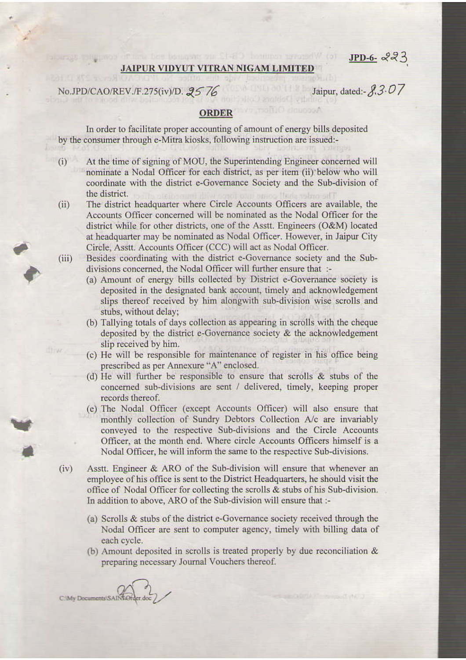$JPD-6-223$ 

## **JAIPUR VIDYUT VITRAN NIGAM LIMITED**

No.JPD/CAO/REV./F.275(iv)/D. 25 76

Jaipur, dated:  $3.07$ vibritie

**nunnivA** 

## **ORDER**

In order to facilitate proper accounting of amount of energy bills deposited by the consumer through e-Mitra kiosks, following instruction are issued:-

- At the time of signing of MOU, the Superintending Engineer concerned will  $(i)$ nominate a Nodal Officer for each district, as per item (ii) below who will coordinate with the district e-Governance Society and the Sub-division of the district.
- The district headquarter where Circle Accounts Officers are available, the  $(ii)$ Accounts Officer concerned will be nominated as the Nodal Officer for the district while for other districts, one of the Asstt. Engineers (O&M) located at headquarter may be nominated as Nodal Officer. However, in Jaipur City Circle, Asstt. Accounts Officer (CCC) will act as Nodal Officer.
- Besides coordinating with the district e-Governance society and the Sub- $(iii)$ divisions concerned, the Nodal Officer will further ensure that :-
	- (a) Amount of energy bills collected by District e-Governance society is deposited in the designated bank account, timely and acknowledgement slips thereof received by him alongwith sub-division wise scrolls and stubs, without delay;
	- (b) Tallying totals of days collection as appearing in scrolls with the cheque deposited by the district e-Governance society & the acknowledgement slip received by him.
	- (c) He will be responsible for maintenance of register in his office being prescribed as per Annexure "A" enclosed.
	- (d) He will further be responsible to ensure that scrolls & stubs of the concerned sub-divisions are sent / delivered, timely, keeping proper records thereof.
	- (e) The Nodal Officer (except Accounts Officer) will also ensure that monthly collection of Sundry Debtors Collection A/c are invariably conveyed to the respective Sub-divisions and the Circle Accounts Officer, at the month end. Where circle Accounts Officers himself is a Nodal Officer, he will inform the same to the respective Sub-divisions.
- $(iv)$ Asstt. Engineer & ARO of the Sub-division will ensure that whenever an employee of his office is sent to the District Headquarters, he should visit the office of Nodal Officer for collecting the scrolls & stubs of his Sub-division. In addition to above, ARO of the Sub-division will ensure that :-
	- (a) Scrolls & stubs of the district e-Governance society received through the Nodal Officer are sent to computer agency, timely with billing data of each cycle.
	- (b) Amount deposited in scrolls is treated properly by due reconciliation & preparing necessary Journal Vouchers thereof.

C:\Mv Documents\SAINUC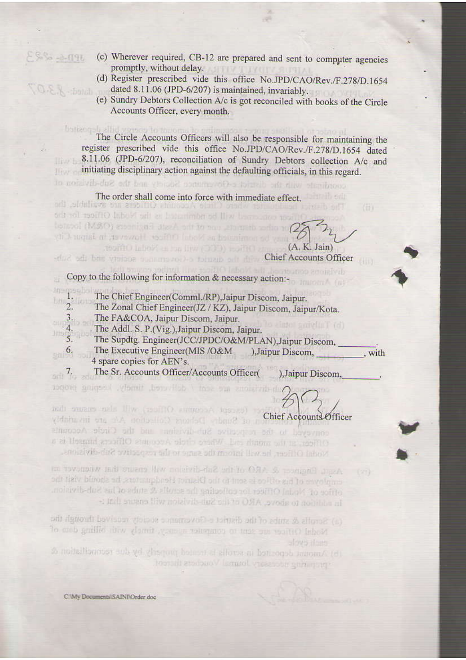- (c) Wherever required, CB-12 are prepared and sent to computer agencies promptly, without delay.
	- (d) Register prescribed vide this office No.JPD/CAO/Rev./F.278/D.1654 dated 8.11.06 (JPD-6/207) is maintained, invariably.
	- (e) Sundry Debtors Collection A/c is got reconciled with books of the Circle Accounts Officer, every month.

butizon I, alla capos lo mport The Circle Accounts Officers will also be responsible for maintaining the register prescribed vide this office No.JPD/CAO/Rev./F.278/D.1654 dated 8.11.06 (JPD-6/207), reconciliation of Sundry Debtors collection A/c and initiating disciplinary action against the defaulting officials, in this regard. coordinate with the district c-Obvertured Society and the Sub-distinguian

## The order shall come into force with immediate effect. where Clinic Automats Officers are available, the

tricer concerns will be nominated us the Nodal Officer for the bergool (MSO) apprilent disch art to bay stampib aging to resulting in book and a line of the book of the control (A, K. Jain)

the ban vision commenced to the off all Chief Accounts Officer

petrol. Une control infold adj. bentiumo groielvib Copy to the following for information & necessary action:-

- inamaghe The Chief Engineer(Comml./RP), Jaipur Discom, Jaipur.  $\mathbb{L}^n$  2.
	- The Zonal Chief Engineer(JZ / KZ), Jaipur Discom, Jaipur/Kota.
- 3. The FA&COA, Jaipur Discom, Jaipur.
- 4. The Addl. S. P.(Vig.), Jaipur Discom, Jaipur.

be nonincied as Nodal 100kg/ However, in Jaipur City

- $\frac{1}{5}$ . The Supdtg. Engineer(JCC/JPDC/O&M/PLAN),Jaipur Discom,
- The Executive Engineer(MIS/O&M 6. ), Jaipur Discom, , with 4 spare copies for AEN's.

The Sr. Accounts Officer/Accounts Officer(  $\frac{7}{200}$   $\frac{7}{20}$   $\frac{1}{20}$ ), Jaipur Discom,

divisions are sent / delivered, timely. Require proper

platet smith [ 10]

redi oncare nels fliw (1901ftO entreport topose) v White an an Manufacture of the Chief Accounts Officer conveyed to the response Sub-divisions and the Circle Accounts o Heart at the menth of Wale's cloth systems Officers himself is a North Officer, he will inform the same to the respective Sub-divisions.

Aspt. Baginer & ARO of the Sub-divid-relief ensure that whenpoter in  $(x)$ employee of his office is sent to the District idendminiters, he should visit the effice of Nodal Officer for collecting the service & dubs of his Sub-division. in addition to above, ARO et its Sul-division will ensure that :-

- (a) Senalls & state of the district e-Governance sceney received through the Nodal Office are sent to computer approvidency with with a data of
- A notherliances sub yet thermy bottom at ellows at battrogob trainers (d) proposition adversary Joanna Vouchers thereof

 $3P1 - 22$ 

 $disted = \sqrt{3.5}$